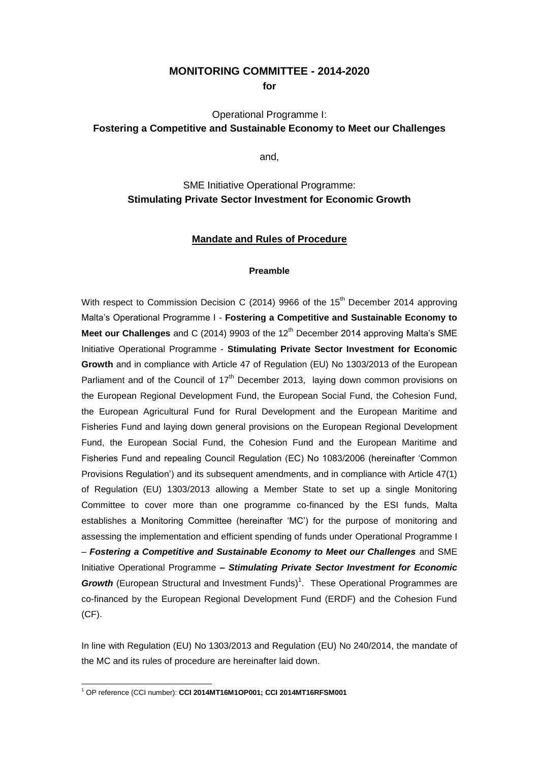## **MONITORING COMMITTEE - 2014-2020**

**for** 

# Operational Programme I: **Fostering a Competitive and Sustainable Economy to Meet our Challenges**

and,

## SME Initiative Operational Programme: **Stimulating Private Sector Investment for Economic Growth**

## **Mandate and Rules of Procedure**

#### **Preamble**

With respect to Commission Decision C (2014) 9966 of the 15<sup>th</sup> December 2014 approving Malta's Operational Programme I - **Fostering a Competitive and Sustainable Economy to Meet our Challenges** and C (2014) 9903 of the 12<sup>th</sup> December 2014 approving Malta's SME Initiative Operational Programme - **Stimulating Private Sector Investment for Economic Growth** and in compliance with Article 47 of Regulation (EU) No 1303/2013 of the European Parliament and of the Council of  $17<sup>th</sup>$  December 2013, laying down common provisions on the European Regional Development Fund, the European Social Fund, the Cohesion Fund, the European Agricultural Fund for Rural Development and the European Maritime and Fisheries Fund and laying down general provisions on the European Regional Development Fund, the European Social Fund, the Cohesion Fund and the European Maritime and Fisheries Fund and repealing Council Regulation (EC) No 1083/2006 (hereinafter 'Common Provisions Regulation') and its subsequent amendments, and in compliance with Article 47(1) of Regulation (EU) 1303/2013 allowing a Member State to set up a single Monitoring Committee to cover more than one programme co-financed by the ESI funds, Malta establishes a Monitoring Committee (hereinafter 'MC') for the purpose of monitoring and assessing the implementation and efficient spending of funds under Operational Programme I – *Fostering a Competitive and Sustainable Economy to Meet our Challenges* and SME Initiative Operational Programme **–** *Stimulating Private Sector Investment for Economic*  Growth (European Structural and Investment Funds)<sup>1</sup>. These Operational Programmes are co-financed by the European Regional Development Fund (ERDF) and the Cohesion Fund (CF).

In line with Regulation (EU) No 1303/2013 and Regulation (EU) No 240/2014, the mandate of the MC and its rules of procedure are hereinafter laid down.

<sup>-</sup><sup>1</sup> OP reference (CCI number): **CCI 2014MT16M1OP001; CCI 2014MT16RFSM001**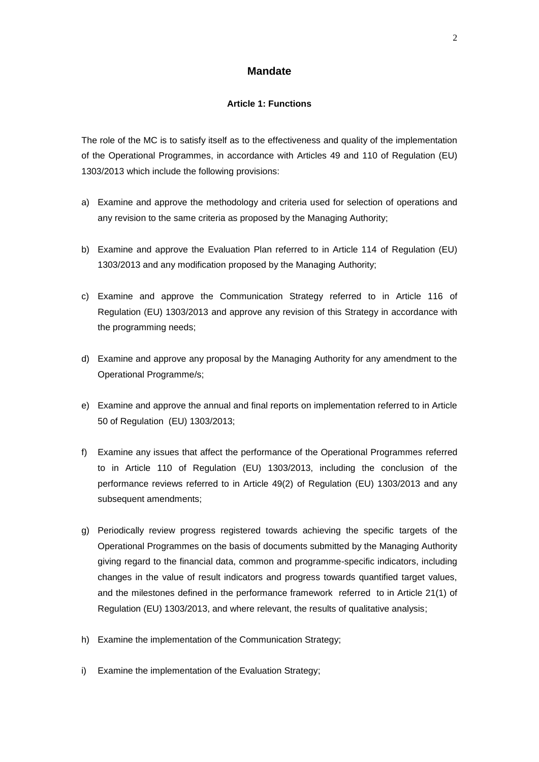## **Mandate**

#### **Article 1: Functions**

The role of the MC is to satisfy itself as to the effectiveness and quality of the implementation of the Operational Programmes, in accordance with Articles 49 and 110 of Regulation (EU) 1303/2013 which include the following provisions:

- a) Examine and approve the methodology and criteria used for selection of operations and any revision to the same criteria as proposed by the Managing Authority;
- b) Examine and approve the Evaluation Plan referred to in Article 114 of Regulation (EU) 1303/2013 and any modification proposed by the Managing Authority;
- c) Examine and approve the Communication Strategy referred to in Article 116 of Regulation (EU) 1303/2013 and approve any revision of this Strategy in accordance with the programming needs;
- d) Examine and approve any proposal by the Managing Authority for any amendment to the Operational Programme/s;
- e) Examine and approve the annual and final reports on implementation referred to in Article 50 of Regulation (EU) 1303/2013;
- f) Examine any issues that affect the performance of the Operational Programmes referred to in Article 110 of Regulation (EU) 1303/2013, including the conclusion of the performance reviews referred to in Article 49(2) of Regulation (EU) 1303/2013 and any subsequent amendments;
- g) Periodically review progress registered towards achieving the specific targets of the Operational Programmes on the basis of documents submitted by the Managing Authority giving regard to the financial data, common and programme-specific indicators, including changes in the value of result indicators and progress towards quantified target values, and the milestones defined in the performance framework referred to in Article 21(1) of Regulation (EU) 1303/2013, and where relevant, the results of qualitative analysis;
- h) Examine the implementation of the Communication Strategy;
- i) Examine the implementation of the Evaluation Strategy;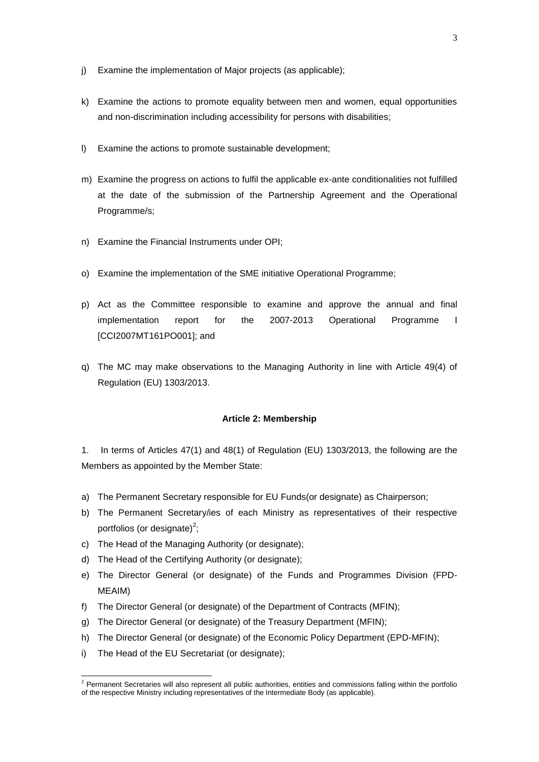- j) Examine the implementation of Major projects (as applicable);
- k) Examine the actions to promote equality between men and women, equal opportunities and non-discrimination including accessibility for persons with disabilities;
- l) Examine the actions to promote sustainable development;
- m) Examine the progress on actions to fulfil the applicable ex-ante conditionalities not fulfilled at the date of the submission of the Partnership Agreement and the Operational Programme/s;
- n) Examine the Financial Instruments under OPI;
- o) Examine the implementation of the SME initiative Operational Programme;
- p) Act as the Committee responsible to examine and approve the annual and final implementation report for the 2007-2013 Operational Programme I [CCI2007MT161PO001]; and
- q) The MC may make observations to the Managing Authority in line with Article 49(4) of Regulation (EU) 1303/2013.

#### **Article 2: Membership**

1. In terms of Articles 47(1) and 48(1) of Regulation (EU) 1303/2013, the following are the Members as appointed by the Member State:

- a) The Permanent Secretary responsible for EU Funds(or designate) as Chairperson;
- b) The Permanent Secretary/ies of each Ministry as representatives of their respective portfolios (or designate)<sup>2</sup>;
- c) The Head of the Managing Authority (or designate);
- d) The Head of the Certifying Authority (or designate);
- e) The Director General (or designate) of the Funds and Programmes Division (FPD-MEAIM)
- f) The Director General (or designate) of the Department of Contracts (MFIN);
- g) The Director General (or designate) of the Treasury Department (MFIN);
- h) The Director General (or designate) of the Economic Policy Department (EPD-MFIN);
- i) The Head of the EU Secretariat (or designate);

<sup>1</sup>  $2$  Permanent Secretaries will also represent all public authorities, entities and commissions falling within the portfolio of the respective Ministry including representatives of the Intermediate Body (as applicable).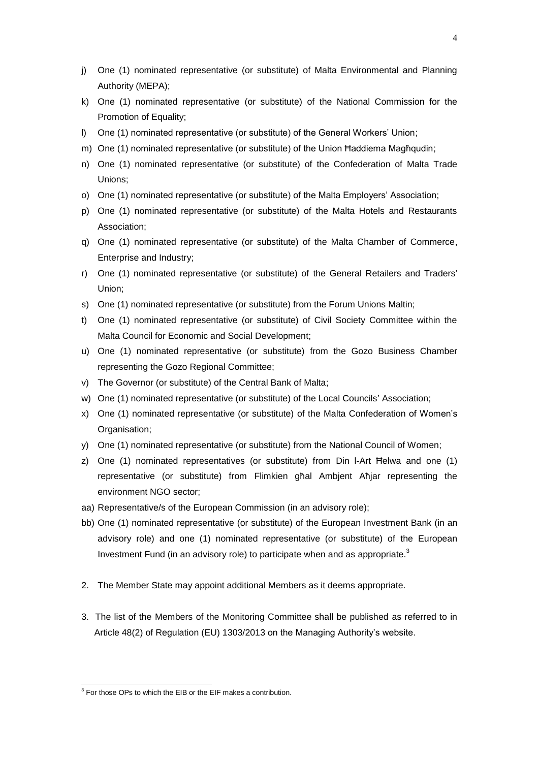- j) One (1) nominated representative (or substitute) of Malta Environmental and Planning Authority (MEPA);
- k) One (1) nominated representative (or substitute) of the National Commission for the Promotion of Equality;
- l) One (1) nominated representative (or substitute) of the General Workers' Union;
- m) One (1) nominated representative (or substitute) of the Union Ħaddiema Magħqudin;
- n) One (1) nominated representative (or substitute) of the Confederation of Malta Trade Unions;
- o) One (1) nominated representative (or substitute) of the Malta Employers' Association;
- p) One (1) nominated representative (or substitute) of the Malta Hotels and Restaurants Association;
- q) One (1) nominated representative (or substitute) of the Malta Chamber of Commerce, Enterprise and Industry;
- r) One (1) nominated representative (or substitute) of the General Retailers and Traders' Union;
- s) One (1) nominated representative (or substitute) from the Forum Unions Maltin;
- t) One (1) nominated representative (or substitute) of Civil Society Committee within the Malta Council for Economic and Social Development;
- u) One (1) nominated representative (or substitute) from the Gozo Business Chamber representing the Gozo Regional Committee;
- v) The Governor (or substitute) of the Central Bank of Malta;
- w) One (1) nominated representative (or substitute) of the Local Councils' Association;
- x) One (1) nominated representative (or substitute) of the Malta Confederation of Women's Organisation;
- y) One (1) nominated representative (or substitute) from the National Council of Women;
- z) One (1) nominated representatives (or substitute) from Din l-Art Ħelwa and one (1) representative (or substitute) from Flimkien għal Ambjent Aħjar representing the environment NGO sector;
- aa) Representative/s of the European Commission (in an advisory role);
- bb) One (1) nominated representative (or substitute) of the European Investment Bank (in an advisory role) and one (1) nominated representative (or substitute) of the European Investment Fund (in an advisory role) to participate when and as appropriate.<sup>3</sup>
- 2. The Member State may appoint additional Members as it deems appropriate.
- 3. The list of the Members of the Monitoring Committee shall be published as referred to in Article 48(2) of Regulation (EU) 1303/2013 on the Managing Authority's website.

 3 For those OPs to which the EIB or the EIF makes a contribution.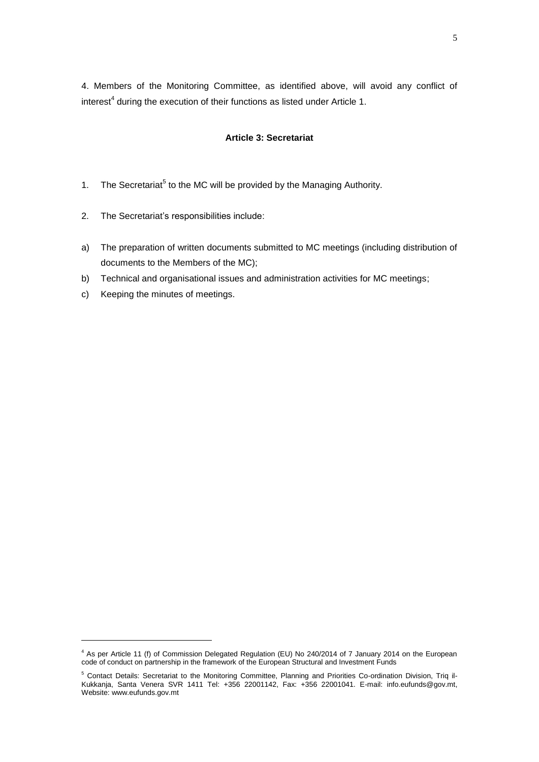4. Members of the Monitoring Committee, as identified above, will avoid any conflict of interest<sup>4</sup> during the execution of their functions as listed under Article 1.

#### **Article 3: Secretariat**

- 1. The Secretariat<sup>5</sup> to the MC will be provided by the Managing Authority.
- 2. The Secretariat's responsibilities include:
- a) The preparation of written documents submitted to MC meetings (including distribution of documents to the Members of the MC);
- b) Technical and organisational issues and administration activities for MC meetings;
- c) Keeping the minutes of meetings.

-

<sup>4</sup> As per Article 11 (f) of Commission Delegated Regulation (EU) No 240/2014 of 7 January 2014 on the European code of conduct on partnership in the framework of the European Structural and Investment Funds

<sup>&</sup>lt;sup>5</sup> Contact Details: Secretariat to the Monitoring Committee, Planning and Priorities Co-ordination Division, Triq il-Kukkanja, Santa Venera SVR 1411 Tel: +356 22001142, Fax: +356 22001041. E-mail: [info.eufunds@gov.mt,](mailto:info.eufunds@gov.mt) Website: www.eufunds.gov.mt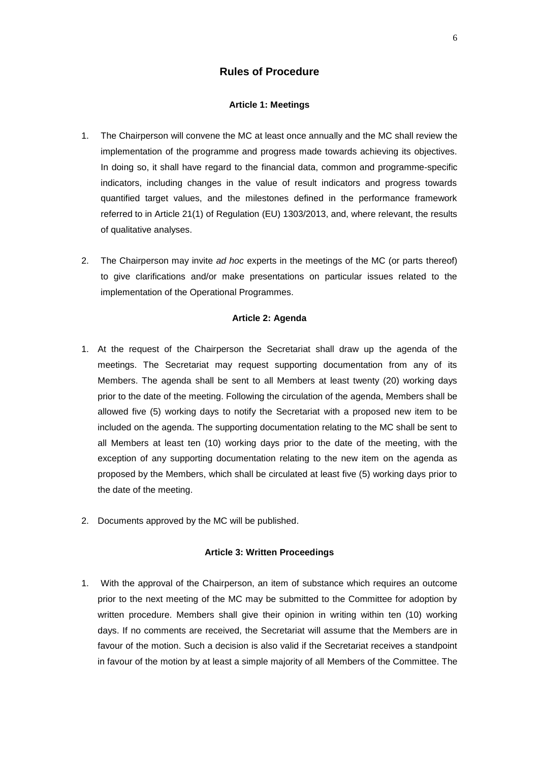## **Rules of Procedure**

#### **Article 1: Meetings**

- 1. The Chairperson will convene the MC at least once annually and the MC shall review the implementation of the programme and progress made towards achieving its objectives. In doing so, it shall have regard to the financial data, common and programme-specific indicators, including changes in the value of result indicators and progress towards quantified target values, and the milestones defined in the performance framework referred to in Article 21(1) of Regulation (EU) 1303/2013, and, where relevant, the results of qualitative analyses.
- 2. The Chairperson may invite *ad hoc* experts in the meetings of the MC (or parts thereof) to give clarifications and/or make presentations on particular issues related to the implementation of the Operational Programmes.

#### **Article 2: Agenda**

- 1. At the request of the Chairperson the Secretariat shall draw up the agenda of the meetings. The Secretariat may request supporting documentation from any of its Members. The agenda shall be sent to all Members at least twenty (20) working days prior to the date of the meeting. Following the circulation of the agenda, Members shall be allowed five (5) working days to notify the Secretariat with a proposed new item to be included on the agenda. The supporting documentation relating to the MC shall be sent to all Members at least ten (10) working days prior to the date of the meeting, with the exception of any supporting documentation relating to the new item on the agenda as proposed by the Members, which shall be circulated at least five (5) working days prior to the date of the meeting.
- 2. Documents approved by the MC will be published.

#### **Article 3: Written Proceedings**

1. With the approval of the Chairperson, an item of substance which requires an outcome prior to the next meeting of the MC may be submitted to the Committee for adoption by written procedure. Members shall give their opinion in writing within ten (10) working days. If no comments are received, the Secretariat will assume that the Members are in favour of the motion. Such a decision is also valid if the Secretariat receives a standpoint in favour of the motion by at least a simple majority of all Members of the Committee. The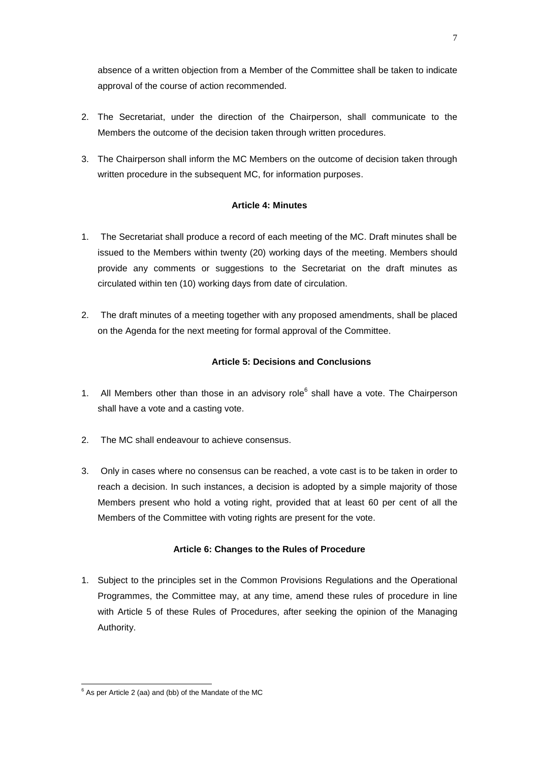absence of a written objection from a Member of the Committee shall be taken to indicate approval of the course of action recommended.

- 2. The Secretariat, under the direction of the Chairperson, shall communicate to the Members the outcome of the decision taken through written procedures.
- 3. The Chairperson shall inform the MC Members on the outcome of decision taken through written procedure in the subsequent MC, for information purposes.

## **Article 4: Minutes**

- 1. The Secretariat shall produce a record of each meeting of the MC. Draft minutes shall be issued to the Members within twenty (20) working days of the meeting. Members should provide any comments or suggestions to the Secretariat on the draft minutes as circulated within ten (10) working days from date of circulation.
- 2. The draft minutes of a meeting together with any proposed amendments, shall be placed on the Agenda for the next meeting for formal approval of the Committee.

## **Article 5: Decisions and Conclusions**

- 1. All Members other than those in an advisory role $<sup>6</sup>$  shall have a vote. The Chairperson</sup> shall have a vote and a casting vote.
- 2. The MC shall endeavour to achieve consensus.
- 3. Only in cases where no consensus can be reached, a vote cast is to be taken in order to reach a decision. In such instances, a decision is adopted by a simple majority of those Members present who hold a voting right, provided that at least 60 per cent of all the Members of the Committee with voting rights are present for the vote.

## **Article 6: Changes to the Rules of Procedure**

1. Subject to the principles set in the Common Provisions Regulations and the Operational Programmes, the Committee may, at any time, amend these rules of procedure in line with Article 5 of these Rules of Procedures, after seeking the opinion of the Managing Authority.

<sup>-</sup> $6$  As per Article 2 (aa) and (bb) of the Mandate of the MC